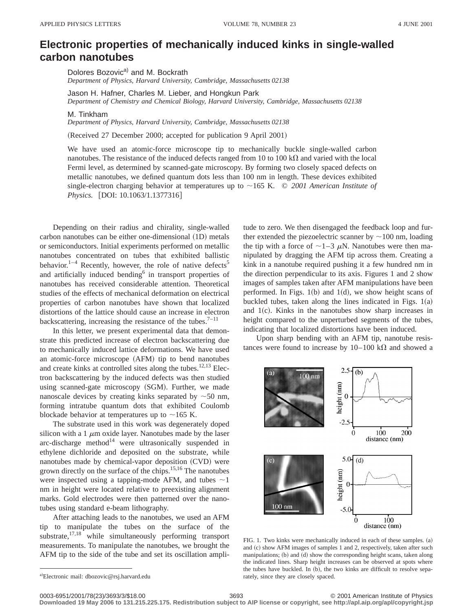## **Electronic properties of mechanically induced kinks in single-walled carbon nanotubes**

Dolores Bozovic<sup>a)</sup> and M. Bockrath

*Department of Physics, Harvard University, Cambridge, Massachusetts 02138*

Jason H. Hafner, Charles M. Lieber, and Hongkun Park *Department of Chemistry and Chemical Biology, Harvard University, Cambridge, Massachusetts 02138*

M. Tinkham

*Department of Physics, Harvard University, Cambridge, Massachusetts 02138*

(Received 27 December 2000; accepted for publication 9 April 2001)

We have used an atomic-force microscope tip to mechanically buckle single-walled carbon nanotubes. The resistance of the induced defects ranged from 10 to 100 k $\Omega$  and varied with the local Fermi level, as determined by scanned-gate microscopy. By forming two closely spaced defects on metallic nanotubes, we defined quantum dots less than 100 nm in length. These devices exhibited single-electron charging behavior at temperatures up to  $\sim$ 165 K.  $\odot$  *2001 American Institute of Physics.* [DOI: 10.1063/1.1377316]

Depending on their radius and chirality, single-walled carbon nanotubes can be either one-dimensional (1D) metals or semiconductors. Initial experiments performed on metallic nanotubes concentrated on tubes that exhibited ballistic behavior.<sup>1–4</sup> Recently, however, the role of native defects<sup>5</sup> and artificially induced bending<sup>6</sup> in transport properties of nanotubes has received considerable attention. Theoretical studies of the effects of mechanical deformation on electrical properties of carbon nanotubes have shown that localized distortions of the lattice should cause an increase in electron backscattering, increasing the resistance of the tubes.<sup>7-11</sup>

In this letter, we present experimental data that demonstrate this predicted increase of electron backscattering due to mechanically induced lattice deformations. We have used an atomic-force microscope (AFM) tip to bend nanotubes and create kinks at controlled sites along the tubes. $12,13$  Electron backscattering by the induced defects was then studied using scanned-gate microscopy (SGM). Further, we made nanoscale devices by creating kinks separated by  $\sim$  50 nm, forming intratube quantum dots that exhibited Coulomb blockade behavior at temperatures up to  $\sim$ 165 K.

The substrate used in this work was degenerately doped silicon with a 1  $\mu$ m oxide layer. Nanotubes made by the laser arc-discharge method $14$  were ultrasonically suspended in ethylene dichloride and deposited on the substrate, while nanotubes made by chemical-vapor deposition (CVD) were grown directly on the surface of the chips.15,16 The nanotubes were inspected using a tapping-mode AFM, and tubes  $\sim$  1 nm in height were located relative to preexisting alignment marks. Gold electrodes were then patterned over the nanotubes using standard e-beam lithography.

After attaching leads to the nanotubes, we used an AFM tip to manipulate the tubes on the surface of the substrate,<sup>17,18</sup> while simultaneously performing transport measurements. To manipulate the nanotubes, we brought the AFM tip to the side of the tube and set its oscillation amplitude to zero. We then disengaged the feedback loop and further extended the piezoelectric scanner by  $\sim$ 100 nm, loading the tip with a force of  $\sim$ 1–3  $\mu$ N. Nanotubes were then manipulated by dragging the AFM tip across them. Creating a kink in a nanotube required pushing it a few hundred nm in the direction perpendicular to its axis. Figures 1 and 2 show images of samples taken after AFM manipulations have been performed. In Figs.  $1(b)$  and  $1(d)$ , we show height scans of buckled tubes, taken along the lines indicated in Figs.  $1(a)$ and  $1(c)$ . Kinks in the nanotubes show sharp increases in height compared to the unperturbed segments of the tubes, indicating that localized distortions have been induced.

Upon sharp bending with an AFM tip, nanotube resistances were found to increase by  $10-100 \text{ k}\Omega$  and showed a



FIG. 1. Two kinks were mechanically induced in each of these samples.  $(a)$ and (c) show AFM images of samples 1 and 2, respectively, taken after such manipulations; (b) and (d) show the corresponding height scans, taken along the indicated lines. Sharp height increases can be observed at spots where the tubes have buckled. In (b), the two kinks are difficult to resolve separately, since they are closely spaced.

**Downloaded 19 May 2006 to 131.215.225.175. Redistribution subject to AIP license or copyright, see http://apl.aip.org/apl/copyright.jsp**

a)Electronic mail: dbozovic@rsj.harvard.edu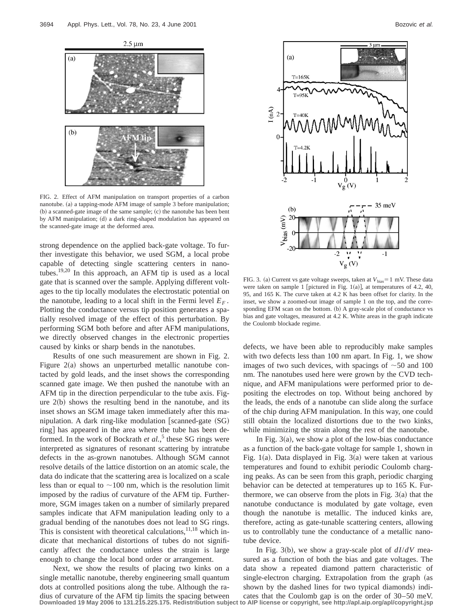

FIG. 2. Effect of AFM manipulation on transport properties of a carbon nanotube.  $(a)$  a tapping-mode AFM image of sample 3 before manipulation;  $(b)$  a scanned-gate image of the same sample;  $(c)$  the nanotube has been bent by AFM manipulation; (d) a dark ring-shaped modulation has appeared on the scanned-gate image at the deformed area.

strong dependence on the applied back-gate voltage. To further investigate this behavior, we used SGM, a local probe capable of detecting single scattering centers in nanotubes.19,20 In this approach, an AFM tip is used as a local gate that is scanned over the sample. Applying different voltages to the tip locally modulates the electrostatic potential on the nanotube, leading to a local shift in the Fermi level  $E_F$ . Plotting the conductance versus tip position generates a spatially resolved image of the effect of this perturbation. By performing SGM both before and after AFM manipulations, we directly observed changes in the electronic properties caused by kinks or sharp bends in the nanotubes.

Results of one such measurement are shown in Fig. 2. Figure  $2(a)$  shows an unperturbed metallic nanotube contacted by gold leads, and the inset shows the corresponding scanned gate image. We then pushed the nanotube with an AFM tip in the direction perpendicular to the tube axis. Figure  $2(b)$  shows the resulting bend in the nanotube, and its inset shows an SGM image taken immediately after this manipulation. A dark ring-like modulation [scanned-gate  $(SG)$ ] ring] has appeared in the area where the tube has been deformed. In the work of Bockrath *et al.*,<sup>5</sup> these SG rings were interpreted as signatures of resonant scattering by intratube defects in the as-grown nanotubes. Although SGM cannot resolve details of the lattice distortion on an atomic scale, the data do indicate that the scattering area is localized on a scale less than or equal to  $\sim$ 100 nm, which is the resolution limit imposed by the radius of curvature of the AFM tip. Furthermore, SGM images taken on a number of similarly prepared samples indicate that AFM manipulation leading only to a gradual bending of the nanotubes does not lead to SG rings. This is consistent with theoretical calculations, $^{11,18}$  which indicate that mechanical distortions of tubes do not significantly affect the conductance unless the strain is large enough to change the local bond order or arrangement.

Next, we show the results of placing two kinks on a single metallic nanotube, thereby engineering small quantum dots at controlled positions along the tube. Although the radius of curvature of the AFM tip limits the spacing between cates that the Coulomb gap is on the order of 30–50 meV.<br>Downloaded 19 May 2006 to 131.215.225.175. Redistribution subject to AIP license or copyright, see http:/



FIG. 3. (a) Current vs gate voltage sweeps, taken at  $V_{bias} = 1$  mV. These data were taken on sample 1 [pictured in Fig. 1(a)], at temperatures of 4.2, 40, 95, and 165 K. The curve taken at 4.2 K has been offset for clarity. In the inset, we show a zoomed-out image of sample 1 on the top, and the corresponding EFM scan on the bottom. (b) A gray-scale plot of conductance vs bias and gate voltages, measured at 4.2 K. White areas in the graph indicate the Coulomb blockade regime.

defects, we have been able to reproducibly make samples with two defects less than 100 nm apart. In Fig. 1, we show images of two such devices, with spacings of  $\sim$ 50 and 100 nm. The nanotubes used here were grown by the CVD technique, and AFM manipulations were performed prior to depositing the electrodes on top. Without being anchored by the leads, the ends of a nanotube can slide along the surface of the chip during AFM manipulation. In this way, one could still obtain the localized distortions due to the two kinks, while minimizing the strain along the rest of the nanotube.

In Fig.  $3(a)$ , we show a plot of the low-bias conductance as a function of the back-gate voltage for sample 1, shown in Fig. 1(a). Data displayed in Fig. 3(a) were taken at various temperatures and found to exhibit periodic Coulomb charging peaks. As can be seen from this graph, periodic charging behavior can be detected at temperatures up to 165 K. Furthermore, we can observe from the plots in Fig.  $3(a)$  that the nanotube conductance is modulated by gate voltage, even though the nanotube is metallic. The induced kinks are, therefore, acting as gate-tunable scattering centers, allowing us to controllably tune the conductance of a metallic nanotube device.

In Fig. 3(b), we show a gray-scale plot of  $dI/dV$  measured as a function of both the bias and gate voltages. The data show a repeated diamond pattern characteristic of single-electron charging. Extrapolation from the graph (as shown by the dashed lines for two typical diamonds) indi